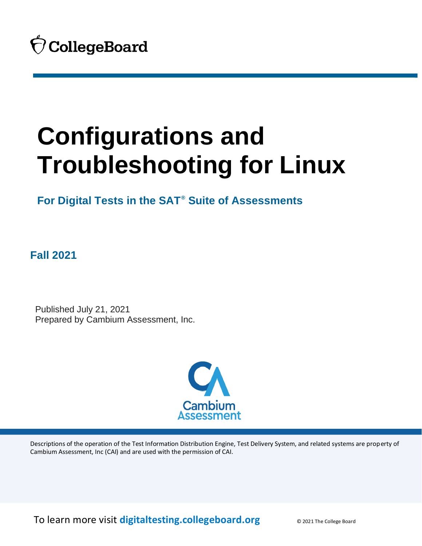**For Digital Tests in the SAT® Suite of Assessments**

**Fall 2021**

 Published July 21, 2021 Prepared by Cambium Assessment, Inc.



Descriptions of the operation of the Test Information Distribution Engine, Test Delivery System, and related systems are property of Cambium Assessment, Inc (CAI) and are used with the permission of CAI.

To learn more visit **[digitaltesting.collegeboard.org](https://digitaltesting.collegeboard.org/)** © 2021 The College Board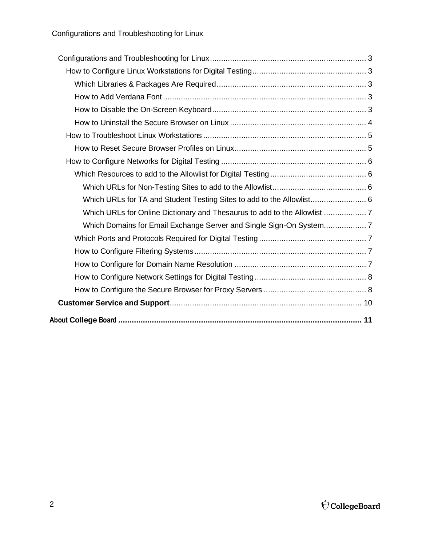| Which URLs for TA and Student Testing Sites to add to the Allowlist 6 |  |
|-----------------------------------------------------------------------|--|
|                                                                       |  |
|                                                                       |  |
|                                                                       |  |
|                                                                       |  |
|                                                                       |  |
|                                                                       |  |
|                                                                       |  |
|                                                                       |  |
|                                                                       |  |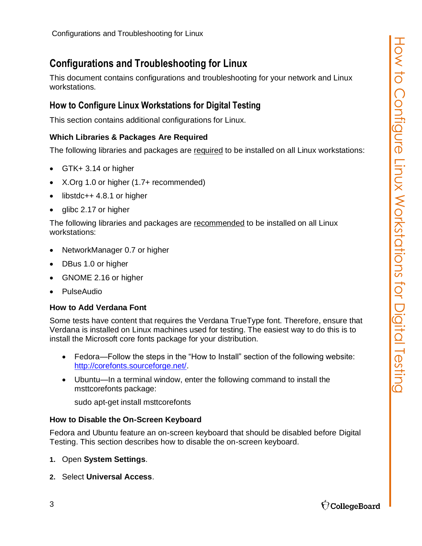<span id="page-2-0"></span>This document contains configurations and troubleshooting for your network and Linux workstations.

#### <span id="page-2-1"></span>**How to Configure Linux Workstations for Digital Testing**

This section contains additional configurations for Linux.

#### <span id="page-2-2"></span>**Which Libraries & Packages Are Required**

The following libraries and packages are required to be installed on all Linux workstations:

- GTK+ 3.14 or higher
- X.Org 1.0 or higher (1.7+ recommended)
- libstdc $++$  4.8.1 or higher
- glibc 2.17 or higher

The following libraries and packages are recommended to be installed on all Linux workstations:

- NetworkManager 0.7 or higher
- DBus 1.0 or higher
- GNOME 2.16 or higher
- PulseAudio

#### <span id="page-2-3"></span>**How to Add Verdana Font**

Some tests have content that requires the Verdana TrueType font. Therefore, ensure that Verdana is installed on Linux machines used for testing. The easiest way to do this is to install the Microsoft core fonts package for your distribution.

- Fedora—Follow the steps in the "How to Install" section of the following website: [http://corefonts.sourceforge.net/.](http://corefonts.sourceforge.net/)
- Ubuntu—In a terminal window, enter the following command to install the msttcorefonts package:

sudo apt-get install msttcorefonts

#### <span id="page-2-4"></span>**How to Disable the On-Screen Keyboard**

Fedora and Ubuntu feature an on-screen keyboard that should be disabled before Digital Testing. This section describes how to disable the on-screen keyboard.

- **1.** Open **System Settings**.
- **2.** Select **Universal Access**.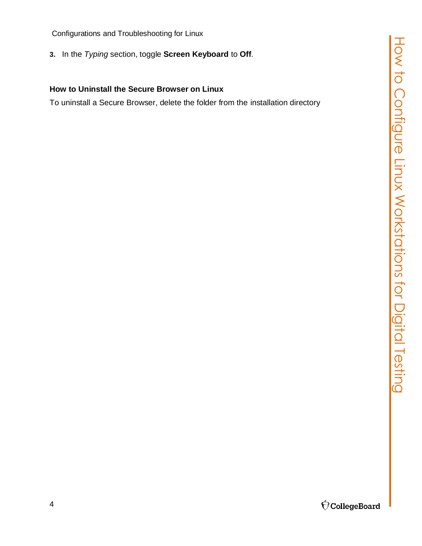**3.** In the *Typing* section, toggle **Screen Keyboard** to **Off**.

#### <span id="page-3-0"></span>**How to Uninstall the Secure Browser on Linux**

To uninstall a Secure Browser, delete the folder from the installation directory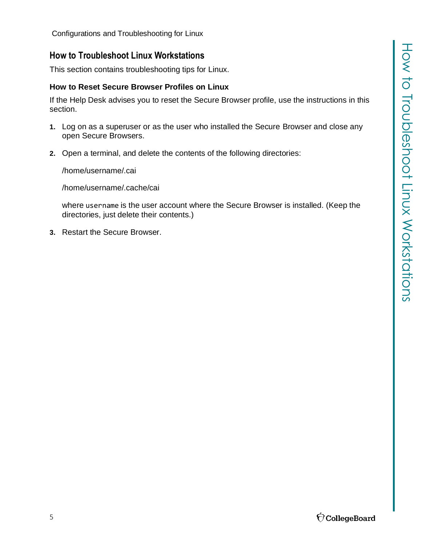#### <span id="page-4-0"></span>**How to Troubleshoot Linux Workstations**

This section contains troubleshooting tips for Linux.

#### <span id="page-4-1"></span>**How to Reset Secure Browser Profiles on Linux**

If the Help Desk advises you to reset the Secure Browser profile, use the instructions in this section.

- **1.** Log on as a superuser or as the user who installed the Secure Browser and close any open Secure Browsers.
- **2.** Open a terminal, and delete the contents of the following directories:

/home/username/.cai

/home/username/.cache/cai

where username is the user account where the Secure Browser is installed. (Keep the directories, just delete their contents.)

**3.** Restart the Secure Browser.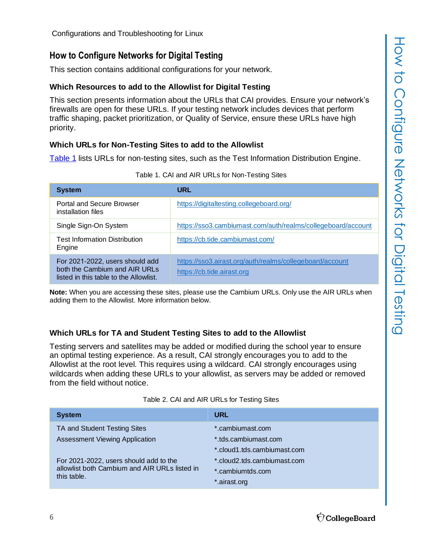#### <span id="page-5-0"></span>**How to Configure Networks for Digital Testing**

This section contains additional configurations for your network.

#### <span id="page-5-1"></span>**Which Resources to add to the Allowlist for Digital Testing**

This section presents information about the URLs that CAI provides. Ensure your network's firewalls are open for these URLs. If your testing network includes devices that perform traffic shaping, packet prioritization, or Quality of Service, ensure these URLs have high priority.

#### <span id="page-5-2"></span>**Which URLs for Non-Testing Sites to add to the Allowlist**

[Table](#page-5-4) 1 lists URLs for non-testing sites, such as the Test Information Distribution Engine.

<span id="page-5-4"></span>

| <b>System</b>                                                                                              | URL                                                                                    |
|------------------------------------------------------------------------------------------------------------|----------------------------------------------------------------------------------------|
| <b>Portal and Secure Browser</b><br>installation files                                                     | https://digitaltesting.collegeboard.org/                                               |
| Single Sign-On System                                                                                      | https://sso3.cambiumast.com/auth/realms/collegeboard/account                           |
| Test Information Distribution<br>Engine                                                                    | https://cb.tide.cambiumast.com/                                                        |
| For 2021-2022, users should add<br>both the Cambium and AIR URLs<br>listed in this table to the Allowlist. | https://sso3.airast.org/auth/realms/collegeboard/account<br>https://cb.tide.airast.org |

Table 1. CAI and AIR URLs for Non-Testing Sites

**Note:** When you are accessing these sites, please use the Cambium URLs. Only use the AIR URLs when adding them to the Allowlist. More information below.

#### <span id="page-5-3"></span>**Which URLs for TA and Student Testing Sites to add to the Allowlist**

Testing servers and satellites may be added or modified during the school year to ensure an optimal testing experience. As a result, CAI strongly encourages you to add to the Allowlist at the root level. This requires using a wildcard. CAI strongly encourages using wildcards when adding these URLs to your allowlist, as servers may be added or removed from the field without notice.

| Table 2. CAI and AIR URLs for Testing Sites |  |
|---------------------------------------------|--|
|---------------------------------------------|--|

<span id="page-5-5"></span>

| <b>System</b>                                                                                          | URL                         |
|--------------------------------------------------------------------------------------------------------|-----------------------------|
| TA and Student Testing Sites                                                                           | *.cambiumast.com            |
| <b>Assessment Viewing Application</b>                                                                  | *.tds.cambiumast.com        |
|                                                                                                        | *.cloud1.tds.cambiumast.com |
| For 2021-2022, users should add to the<br>allowlist both Cambium and AIR URLs listed in<br>this table. | *.cloud2.tds.cambiumast.com |
|                                                                                                        | *.cambiumtds.com            |
|                                                                                                        | *.airast.org                |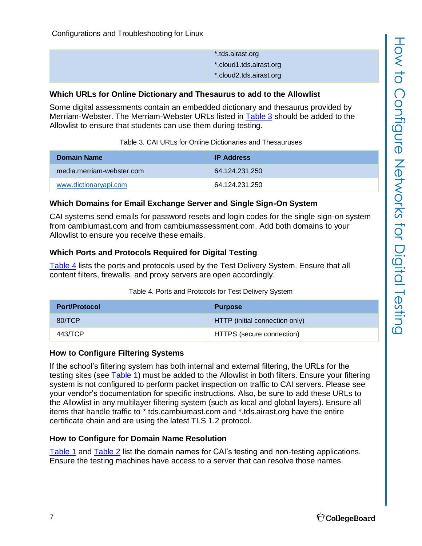| tds.airast.org.*        |
|-------------------------|
| *.cloud1.tds.airast.org |
| *.cloud2.tds.airast.org |

#### <span id="page-6-0"></span>**Which URLs for Online Dictionary and Thesaurus to add to the Allowlist**

Some digital assessments contain an embedded dictionary and thesaurus provided by Merriam-Webster. The Merriam-Webster URLs listed in [Table](#page-6-5) 3 should be added to the Allowlist to ensure that students can use them during testing.

<span id="page-6-5"></span>

| <b>Domain Name</b>        | <b>IP Address</b> |
|---------------------------|-------------------|
| media.merriam-webster.com | 64 124 231 250    |
| www.dictionaryapi.com     | 64.124.231.250    |

#### <span id="page-6-1"></span>**Which Domains for Email Exchange Server and Single Sign-On System**

CAI systems send emails for password resets and login codes for the single sign-on system from cambiumast.com and from cambiumassessment.com. Add both domains to your Allowlist to ensure you receive these emails.

#### <span id="page-6-2"></span>**Which Ports and Protocols Required for Digital Testing**

[Table](#page-6-6) 4 lists the ports and protocols used by the Test Delivery System. Ensure that all content filters, firewalls, and proxy servers are open accordingly.

| Table 4. Ports and Protocols for Test Delivery System |  |
|-------------------------------------------------------|--|
|-------------------------------------------------------|--|

<span id="page-6-6"></span>

| <b>Port/Protocol</b> | <b>Purpose</b>                 |
|----------------------|--------------------------------|
| 80/TCP               | HTTP (initial connection only) |
| 443/TCP              | HTTPS (secure connection)      |

#### <span id="page-6-3"></span>**How to Configure Filtering Systems**

If the school's filtering system has both internal and external filtering, the URLs for the testing sites (see [Table](#page-5-4) 1) must be added to the Allowlist in both filters. Ensure your filtering system is not configured to perform packet inspection on traffic to CAI servers. Please see your vendor's documentation for specific instructions. Also, be sure to add these URLs to the Allowlist in any multilayer filtering system (such as local and global layers). Ensure all items that handle traffic to \*.tds.cambiumast.com and \*.tds.airast.org have the entire certificate chain and are using the latest TLS 1.2 protocol.

#### <span id="page-6-4"></span>**How to Configure for Domain Name Resolution**

[Table](#page-5-4) 1 and [Table](#page-5-5) 2 list the domain names for CAI's testing and non-testing applications. Ensure the testing machines have access to a server that can resolve those names.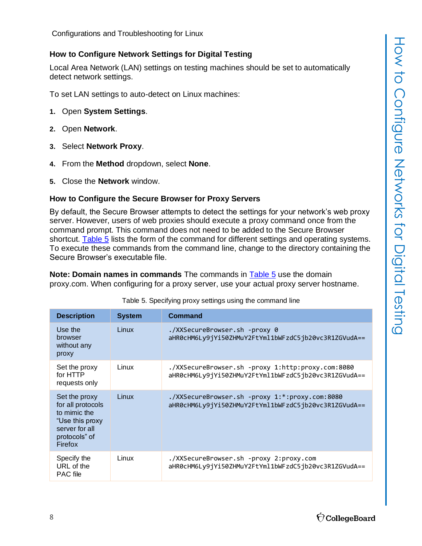#### <span id="page-7-0"></span>**How to Configure Network Settings for Digital Testing**

Local Area Network (LAN) settings on testing machines should be set to automatically detect network settings.

To set LAN settings to auto-detect on Linux machines:

- **1.** Open **System Settings**.
- **2.** Open **Network**.
- **3.** Select **Network Proxy**.
- **4.** From the **Method** dropdown, select **None**.
- **5.** Close the **Network** window.

#### <span id="page-7-1"></span>**How to Configure the Secure Browser for Proxy Servers**

By default, the Secure Browser attempts to detect the settings for your network's web proxy server. However, users of web proxies should execute a proxy command once from the command prompt. This command does not need to be added to the Secure Browser shortcut. [Table](#page-7-2) 5 lists the form of the command for different settings and operating systems. To execute these commands from the command line, change to the directory containing the Secure Browser's executable file.

**Note: Domain names in commands** The commands in [Table](#page-7-2) 5 use the domain proxy.com. When configuring for a proxy server, use your actual proxy server hostname.

<span id="page-7-2"></span>

| <b>Description</b>                                                                                                  | <b>System</b> | <b>Command</b>                                                                                            |
|---------------------------------------------------------------------------------------------------------------------|---------------|-----------------------------------------------------------------------------------------------------------|
| Use the<br>browser<br>without any<br>proxy                                                                          | Linux         | ./XXSecureBrowser.sh -proxy 0<br>aHR0cHM6Ly9jYi50ZHMuY2FtYml1bWFzdC5jb20vc3R1ZGVudA==                     |
| Set the proxy<br>for HTTP<br>requests only                                                                          | Linux         | ./XXSecureBrowser.sh -proxy 1:http:proxy.com:8080<br>aHR0cHM6Ly9jYi50ZHMuY2FtYml1bWFzdC5jb20vc3R1ZGVudA== |
| Set the proxy<br>for all protocols<br>to mimic the<br>"Use this proxy<br>server for all<br>protocols" of<br>Firefox | Linux         | ./XXSecureBrowser.sh -proxy 1:*:proxy.com:8080<br>aHR0cHM6Ly9jYi50ZHMuY2FtYml1bWFzdC5jb20vc3R1ZGVudA==    |
| Specify the<br>URL of the<br><b>PAC</b> file                                                                        | Linux         | ./XXSecureBrowser.sh -proxy 2:proxy.com<br>aHR0cHM6Ly9jYi50ZHMuY2FtYml1bWFzdC5jb20vc3R1ZGVudA==           |

Table 5. Specifying proxy settings using the command line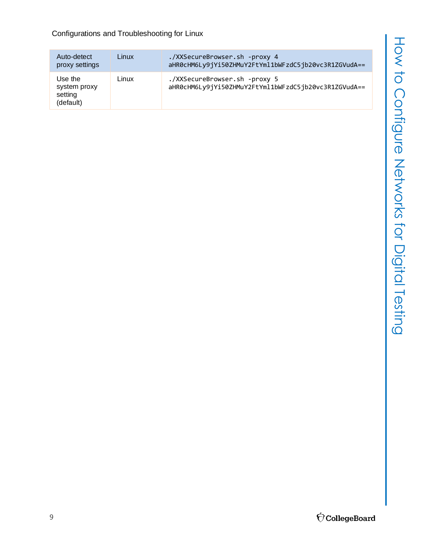How to Configure Networks for Digital Testing How to Configure Networks for Digital Testing

#### Configurations and Troubleshooting for Linux

| Auto-detect<br>proxy settings                   | Linux | ./XXSecureBrowser.sh -proxy 4<br>aHR0cHM6Ly9jYi50ZHMuY2FtYml1bWFzdC5jb20vc3R1ZGVudA== |
|-------------------------------------------------|-------|---------------------------------------------------------------------------------------|
| Use the<br>system proxy<br>setting<br>(default) | Linux | ./XXSecureBrowser.sh -proxy 5<br>aHR0cHM6Ly9jYi50ZHMuY2FtYml1bWFzdC5jb20vc3R1ZGVudA== |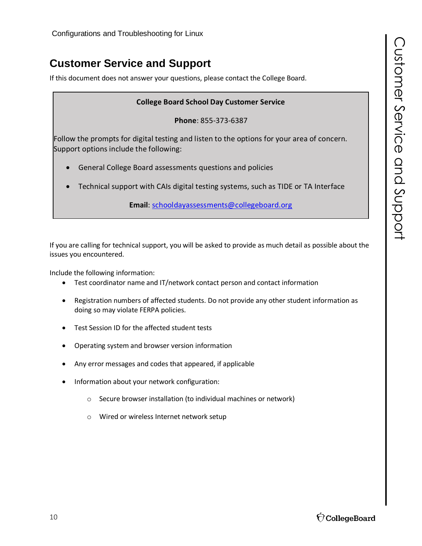## <span id="page-9-0"></span>**Customer Service and Support**

If this document does not answer your questions, please contact the College Board.

#### **College Board School Day Customer Service**

**Phone**: 855-373-6387

Follow the prompts for digital testing and listen to the options for your area of concern. Support options include the following:

- General College Board assessments questions and policies
- Technical support with CAIs digital testing systems, such as TIDE or TA Interface

**Email**: schooldayassessments@collegeboard.org

If you are calling for technical support, you will be asked to provide as much detail as possible about the issues you encountered.

Include the following information:

- Test coordinator name and IT/network contact person and contact information
- Registration numbers of affected students. Do not provide any other student information as doing so may violate FERPA policies.
- Test Session ID for the affected student tests
- Operating system and browser version information
- Any error messages and codes that appeared, if applicable
- Information about your network configuration:
	- o Secure browser installation (to individual machines or network)
	- o Wired or wireless Internet network setup